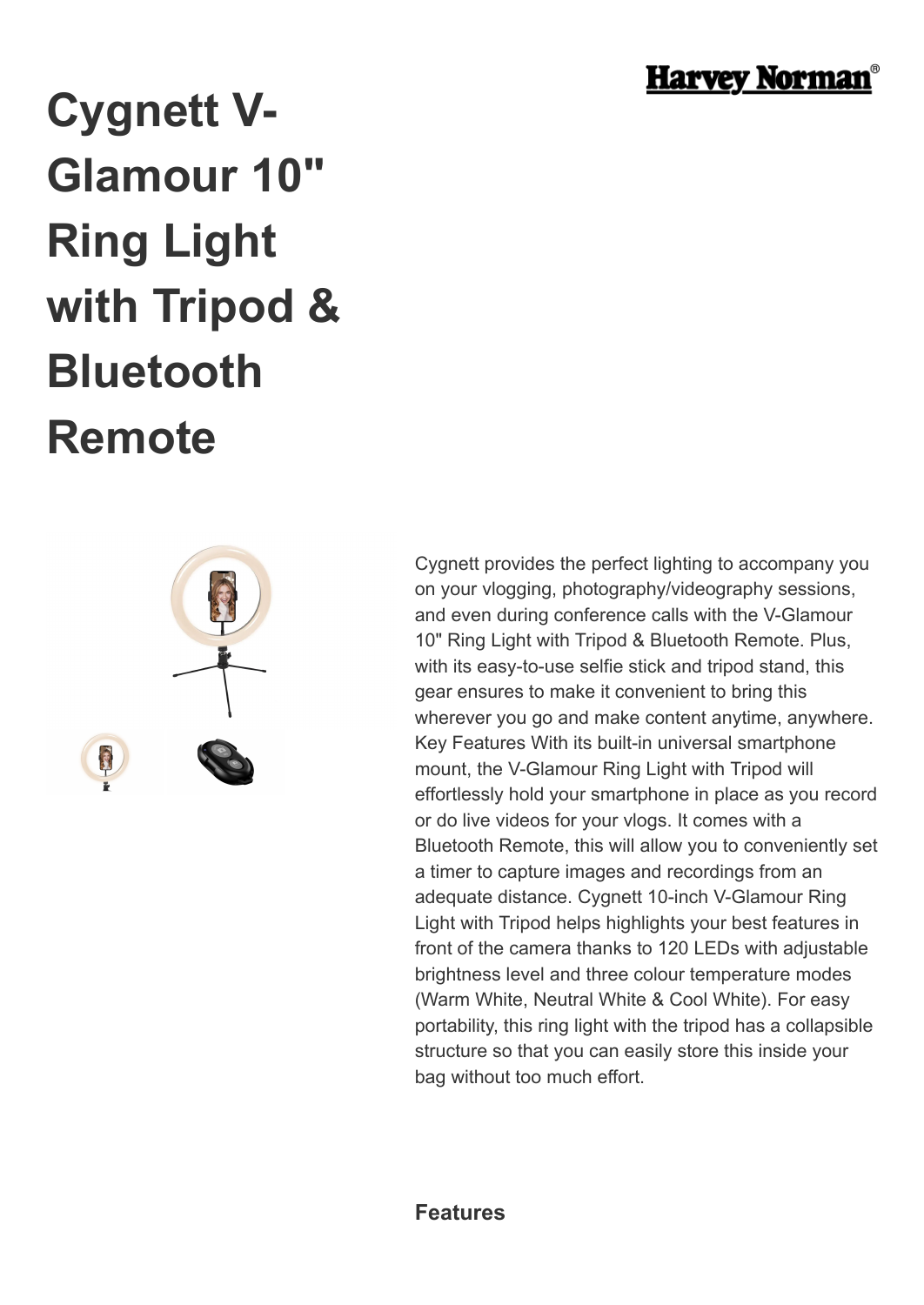

## **Cygnett V-Glamour 10" Ring Light with Tripod & Bluetooth Remote**



Cygnett provides the perfect lighting to accompany you on your vlogging, photography/videography sessions, and even during conference calls with the V-Glamour 10" Ring Light with Tripod & Bluetooth Remote. Plus, with its easy-to-use selfie stick and tripod stand, this gear ensures to make it convenient to bring this wherever you go and make content anytime, anywhere. Key Features With its built-in universal smartphone mount, the V-Glamour Ring Light with Tripod will effortlessly hold your smartphone in place as you record or do live videos for your vlogs. It comes with a Bluetooth Remote, this will allow you to conveniently set a timer to capture images and recordings from an adequate distance. Cygnett 10-inch V-Glamour Ring Light with Tripod helps highlights your best features in front of the camera thanks to 120 LEDs with adjustable brightness level and three colour temperature modes (Warm White, Neutral White & Cool White). For easy portability, this ring light with the tripod has a collapsible structure so that you can easily store this inside your bag without too much effort.

**Features**